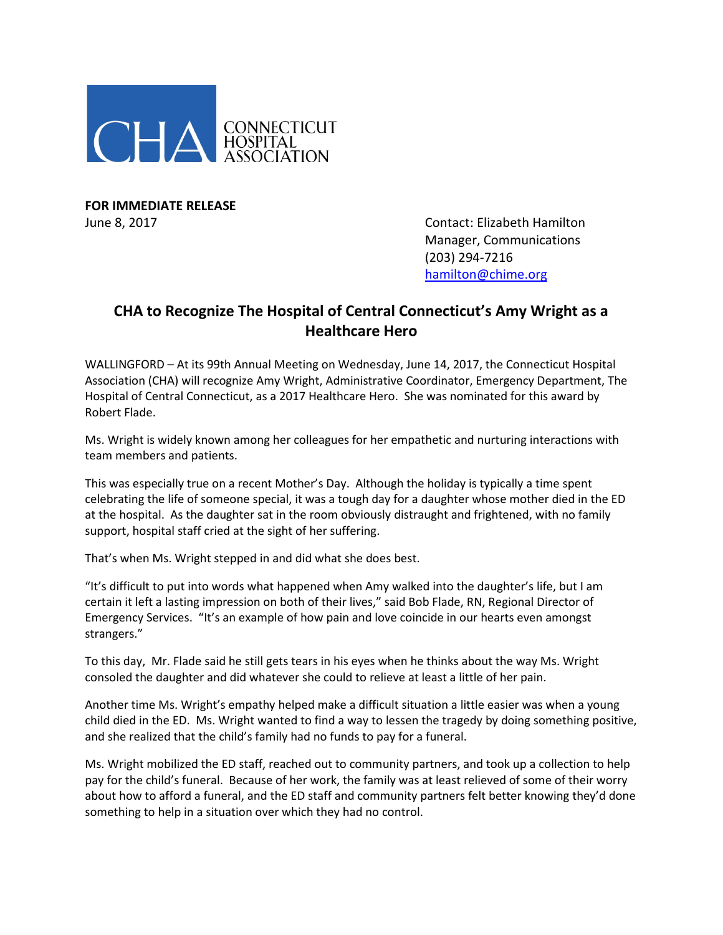

**FOR IMMEDIATE RELEASE**

June 8, 2017 **Contact: Elizabeth Hamilton** Manager, Communications (203) 294-7216 [hamilton@chime.org](mailto:hamilton@chime.org)

## **CHA to Recognize The Hospital of Central Connecticut's Amy Wright as a Healthcare Hero**

WALLINGFORD – At its 99th Annual Meeting on Wednesday, June 14, 2017, the Connecticut Hospital Association (CHA) will recognize Amy Wright, Administrative Coordinator, Emergency Department, The Hospital of Central Connecticut, as a 2017 Healthcare Hero. She was nominated for this award by Robert Flade.

Ms. Wright is widely known among her colleagues for her empathetic and nurturing interactions with team members and patients.

This was especially true on a recent Mother's Day. Although the holiday is typically a time spent celebrating the life of someone special, it was a tough day for a daughter whose mother died in the ED at the hospital. As the daughter sat in the room obviously distraught and frightened, with no family support, hospital staff cried at the sight of her suffering.

That's when Ms. Wright stepped in and did what she does best.

"It's difficult to put into words what happened when Amy walked into the daughter's life, but I am certain it left a lasting impression on both of their lives," said Bob Flade, RN, Regional Director of Emergency Services. "It's an example of how pain and love coincide in our hearts even amongst strangers."

To this day, Mr. Flade said he still gets tears in his eyes when he thinks about the way Ms. Wright consoled the daughter and did whatever she could to relieve at least a little of her pain.

Another time Ms. Wright's empathy helped make a difficult situation a little easier was when a young child died in the ED. Ms. Wright wanted to find a way to lessen the tragedy by doing something positive, and she realized that the child's family had no funds to pay for a funeral.

Ms. Wright mobilized the ED staff, reached out to community partners, and took up a collection to help pay for the child's funeral. Because of her work, the family was at least relieved of some of their worry about how to afford a funeral, and the ED staff and community partners felt better knowing they'd done something to help in a situation over which they had no control.